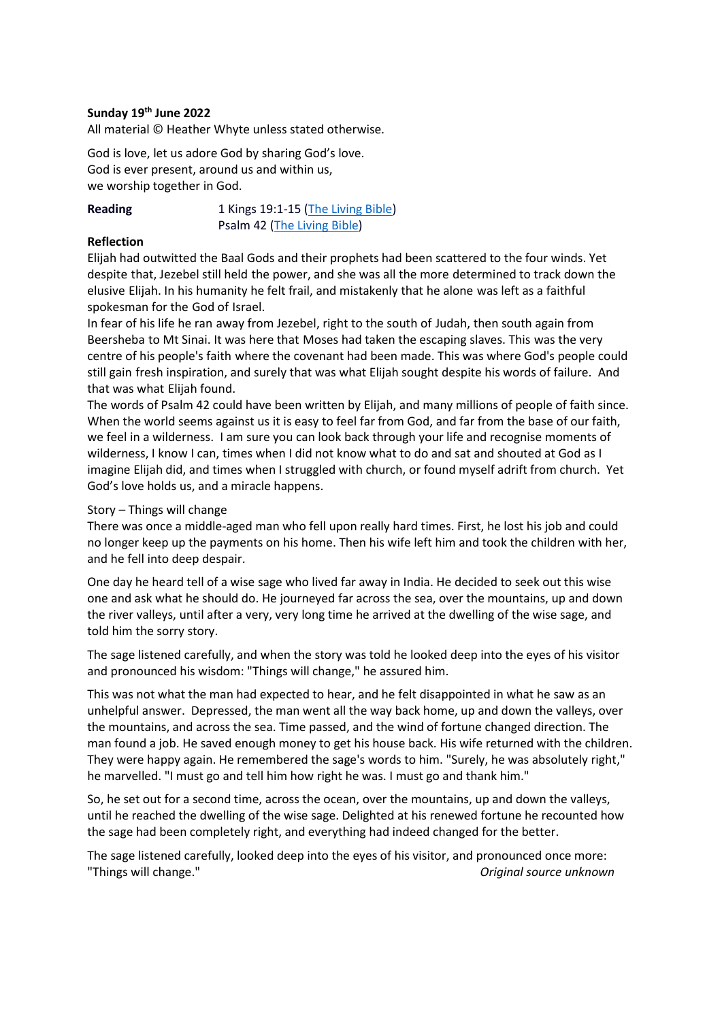## **Sunday 19 th June 2022**

All material © Heather Whyte unless stated otherwise.

God is love, let us adore God by sharing God's love. God is ever present, around us and within us, we worship together in God.

**Reading** 1 Kings 19:1-15 [\(The Living Bible\)](https://www.biblegateway.com/passage/?search=1Kings+19:1-15&version=TLB) Psalm 42 [\(The Living Bible\)](https://www.biblegateway.com/passage/?search=Psalms+42&version=TLB)

## **Reflection**

Elijah had outwitted the Baal Gods and their prophets had been scattered to the four winds. Yet despite that, Jezebel still held the power, and she was all the more determined to track down the elusive Elijah. In his humanity he felt frail, and mistakenly that he alone was left as a faithful spokesman for the God of Israel.

In fear of his life he ran away from Jezebel, right to the south of Judah, then south again from Beersheba to Mt Sinai. It was here that Moses had taken the escaping slaves. This was the very centre of his people's faith where the covenant had been made. This was where God's people could still gain fresh inspiration, and surely that was what Elijah sought despite his words of failure. And that was what Elijah found.

The words of Psalm 42 could have been written by Elijah, and many millions of people of faith since. When the world seems against us it is easy to feel far from God, and far from the base of our faith, we feel in a wilderness. I am sure you can look back through your life and recognise moments of wilderness, I know I can, times when I did not know what to do and sat and shouted at God as I imagine Elijah did, and times when I struggled with church, or found myself adrift from church. Yet God's love holds us, and a miracle happens.

## Story – Things will change

There was once a middle-aged man who fell upon really hard times. First, he lost his job and could no longer keep up the payments on his home. Then his wife left him and took the children with her, and he fell into deep despair.

One day he heard tell of a wise sage who lived far away in India. He decided to seek out this wise one and ask what he should do. He journeyed far across the sea, over the mountains, up and down the river valleys, until after a very, very long time he arrived at the dwelling of the wise sage, and told him the sorry story.

The sage listened carefully, and when the story was told he looked deep into the eyes of his visitor and pronounced his wisdom: "Things will change," he assured him.

This was not what the man had expected to hear, and he felt disappointed in what he saw as an unhelpful answer. Depressed, the man went all the way back home, up and down the valleys, over the mountains, and across the sea. Time passed, and the wind of fortune changed direction. The man found a job. He saved enough money to get his house back. His wife returned with the children. They were happy again. He remembered the sage's words to him. "Surely, he was absolutely right," he marvelled. "I must go and tell him how right he was. I must go and thank him."

So, he set out for a second time, across the ocean, over the mountains, up and down the valleys, until he reached the dwelling of the wise sage. Delighted at his renewed fortune he recounted how the sage had been completely right, and everything had indeed changed for the better.

The sage listened carefully, looked deep into the eyes of his visitor, and pronounced once more: "Things will change." *Original source unknown*